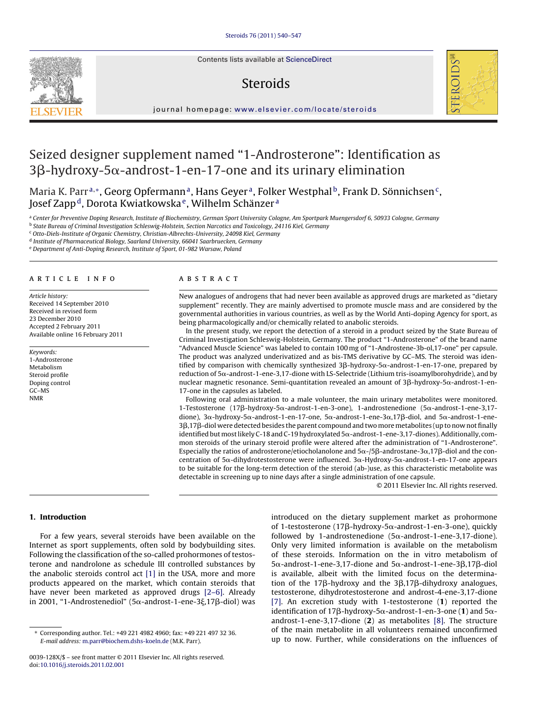Contents lists available at [ScienceDirect](http://www.sciencedirect.com/science/journal/0039128X)

# **Steroids**



journal homepage: [www.elsevier.com/locate/steroids](http://www.elsevier.com/locate/steroids)

# Seized designer supplement named "1-Androsterone": Identification as 3 $\beta$ -hydroxy-5 $\alpha$ -androst-1-en-17-one and its urinary elimination

Maria K. Parr<sup>a,∗</sup>, Georg Opfermann<sup>a</sup>, Hans Geyer<sup>a</sup>, Folker Westphal<sup>b</sup>, Frank D. Sönnichsen<sup>c</sup>, Josef Zappd, Dorota Kwiatkowska e, Wilhelm Schänzer <sup>a</sup>

a Center for Preventive Doping Research, Institute of Biochemistry, German Sport University Cologne, Am Sportpark Muengersdorf 6, 50933 Cologne, Germany

<sup>b</sup> State Bureau of Criminal Investigation Schleswig-Holstein, Section Narcotics and Toxicology, 24116 Kiel, Germany

<sup>c</sup> Otto-Diels-Institute of Organic Chemistry, Christian-Albrechts-University, 24098 Kiel, Germany

<sup>d</sup> Institute of Pharmaceutical Biology, Saarland University, 66041 Saarbruecken, Germany

<sup>e</sup> Department of Anti-Doping Research, Institute of Sport, 01-982 Warsaw, Poland

# article info

Article history: Received 14 September 2010 Received in revised form 23 December 2010 Accepted 2 February 2011 Available online 16 February 2011

Keywords: 1-Androsterone Metabolism Steroid profile Doping control GC–MS NMR

#### ABSTRACT

New analogues of androgens that had never been available as approved drugs are marketed as "dietary supplement" recently. They are mainly advertised to promote muscle mass and are considered by the governmental authorities in various countries, as well as by the World Anti-doping Agency for sport, as being pharmacologically and/or chemically related to anabolic steroids.

In the present study, we report the detection of a steroid in a product seized by the State Bureau of Criminal Investigation Schleswig-Holstein, Germany. The product "1-Androsterone" of the brand name "Advanced Muscle Science" was labeled to contain 100 mg of "1-Androstene-3b-ol,17-one" per capsule. The product was analyzed underivatized and as bis-TMS derivative by GC–MS. The steroid was identified by comparison with chemically synthesized 3β-hydroxy-5α-androst-1-en-17-one, prepared by reduction of 5 $\alpha$ -androst-1-ene-3,17-dione with LS-Selectride (Lithium tris-isoamylborohydride), and by nuclear magnetic resonance. Semi-quantitation revealed an amount of 3 $\beta$ -hydroxy-5 $\alpha$ -androst-1-en-17-one in the capsules as labeled.

Following oral administration to a male volunteer, the main urinary metabolites were monitored. 1-Testosterone (17β-hydroxy-5α-androst-1-en-3-one), 1-androstenedione (5α-androst-1-ene-3,17dione),  $3\alpha$ -hydroxy-5 $\alpha$ -androst-1-en-17-one, 5 $\alpha$ -androst-1-ene-3 $\alpha$ ,17 $\beta$ -diol, and 5 $\alpha$ -androst-1-ene-3β,17β-diol were detected besides the parent compound and two more metabolites (up to now not finally identified but most likely C-18 and C-19 hydroxylated  $5\alpha$ -androst-1-ene-3,17-diones). Additionally, common steroids of the urinary steroid profile were altered after the administration of "1-Androsterone". Especially the ratios of androsterone/etiocholanolone and  $5\alpha$ -/5 $\beta$ -androstane-3 $\alpha$ ,17 $\beta$ -diol and the concentration of  $5\alpha$ -dihydrotestosterone were influenced.  $3\alpha$ -Hydroxy-5 $\alpha$ -androst-1-en-17-one appears to be suitable for the long-term detection of the steroid (ab-)use, as this characteristic metabolite was detectable in screening up to nine days after a single administration of one capsule.

© 2011 Elsevier Inc. All rights reserved.

# **1. Introduction**

For a few years, several steroids have been available on the Internet as sport supplements, often sold by bodybuilding sites. Following the classification of the so-called prohormones of testosterone and nandrolone as schedule III controlled substances by the anabolic steroids control act [\[1\]](#page-6-0) in the USA, more and more products appeared on the market, which contain steroids that have never been marketed as approved drugs [\[2–6\].](#page-6-0) Already in 2001, "1-Androstenediol" (5α-androst-1-ene-3ξ,17β-diol) was

introduced on the dietary supplement market as prohormone of 1-testosterone (17β-hydroxy-5α-androst-1-en-3-one), quickly followed by 1-androstenedione ( $5\alpha$ -androst-1-ene-3,17-dione). Only very limited information is available on the metabolism of these steroids. Information on the in vitro metabolism of  $5\alpha$ -androst-1-ene-3,17-dione and  $5\alpha$ -androst-1-ene-3 $\beta$ ,17 $\beta$ -diol is available, albeit with the limited focus on the determination of the 17 $\beta$ -hydroxy and the 3 $\beta$ ,17 $\beta$ -dihydroxy analogues, testosterone, dihydrotestosterone and androst-4-ene-3,17-dione [\[7\].](#page-6-0) An excretion study with 1-testosterone (**1**) reported the identification of 17 $\beta$ -hydroxy-5 $\alpha$ -androst-1-en-3-one (1) and 5 $\alpha$ androst-1-ene-3,17-dione (**2**) as metabolites [\[8\].](#page-6-0) The structure of the main metabolite in all volunteers remained unconfirmed up to now. Further, while considerations on the influences of



<sup>∗</sup> Corresponding author. Tel.: +49 221 4982 4960; fax: +49 221 497 32 36. E-mail address: [m.parr@biochem.dshs-koeln.de](mailto:m.parr@biochem.dshs-koeln.de) (M.K. Parr).

<sup>0039-128</sup>X/\$ – see front matter © 2011 Elsevier Inc. All rights reserved. doi:[10.1016/j.steroids.2011.02.001](dx.doi.org/10.1016/j.steroids.2011.02.001)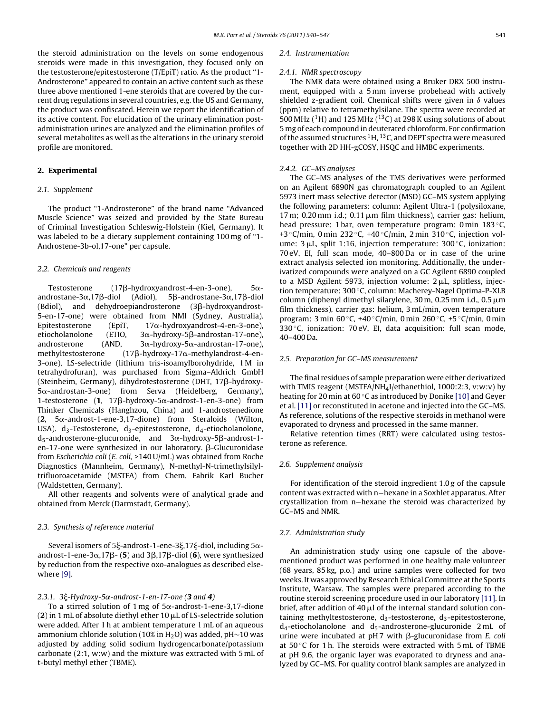the steroid administration on the levels on some endogenous steroids were made in this investigation, they focused only on the testosterone/epitestosterone (T/EpiT) ratio. As the product "1- Androsterone" appeared to contain an active content such as these three above mentioned 1-ene steroids that are covered by the current drug regulations in several countries, e.g. the US and Germany, the product was confiscated. Herein we report the identification of its active content. For elucidation of the urinary elimination postadministration urines are analyzed and the elimination profiles of several metabolites as well as the alterations in the urinary steroid profile are monitored.

# **2. Experimental**

# 2.1. Supplement

The product "1-Androsterone" of the brand name "Advanced Muscle Science" was seized and provided by the State Bureau of Criminal Investigation Schleswig-Holstein (Kiel, Germany). It was labeled to be a dietary supplement containing 100 mg of "1- Androstene-3b-ol,17-one" per capsule.

#### 2.2. Chemicals and reagents

Testosterone  $(17\beta$ -hydroxyandrost-4-en-3-one),  $5\alpha$ androstane-3 $\alpha$ ,17 $\beta$ -diol (Adiol), 5 $\beta$ -androstane-3α,17β-diol (Bdiol), and dehydroepiandrosterone (3ß-hydroxyandrost-5-en-17-one) were obtained from NMI (Sydney, Australia). Epitestosterone (EpiT,  $17\alpha$ -hydroxyandrost-4-en-3-one), etiocholanolone (ETIO, 3α-hydroxy-5β-androstan-17-one), androsterone (AND,  $3\alpha$ -hydroxy-5 $\alpha$ -androstan-17-one), methyltestosterone  $(17\beta$ -hydroxy-17 $\alpha$ -methylandrost-4-en-3-one), LS-selectride (lithium tris-isoamylborohydride, 1 M in tetrahydrofuran), was purchased from Sigma–Aldrich GmbH (Steinheim, Germany), dihydrotestosterone (DHT, 17β-hydroxy- $5\alpha$ -androstan-3-one) from Serva (Heidelberg, Germany),  $1$ -testosterone  $(1, 17\beta$ -hydroxy-5 $\alpha$ -androst-1-en-3-one) from Thinker Chemicals (Hanghzou, China) and 1-androstenedione  $(2, 5\alpha$ -androst-1-ene-3,17-dione) from Steraloids (Wilton, USA). d<sub>3</sub>-Testosterone, d<sub>3</sub>-epitestosterone, d<sub>4</sub>-etiocholanolone,  $\mathsf{d}_5$ -androsterone-glucuronide, and 3 $\alpha$ -hydroxy-5 $\beta$ -androst-1en-17-one were synthesized in our laboratory. β-Glucuronidase from Escherichia coli (E. coli, >140 U/mL) was obtained from Roche Diagnostics (Mannheim, Germany), N-methyl-N-trimethylsilyltrifluoroacetamide (MSTFA) from Chem. Fabrik Karl Bucher (Waldstetten, Germany).

All other reagents and solvents were of analytical grade and obtained from Merck (Darmstadt, Germany).

# 2.3. Synthesis of reference material

Several isomers of 5 $\xi$ -androst-1-ene-3 $\xi$ ,17 $\xi$ -diol, including 5 $\alpha$ androst-1-ene-3 $\alpha$ ,17 $\beta$ - (**5**) and 3 $\beta$ ,17 $\beta$ -diol (**6**), were synthesized by reduction from the respective oxo-analogues as described elsewhere [\[9\].](#page-6-0)

#### $2.3.1.$  3 $\xi$ -Hydroxy-5 $\alpha$ -androst-1-en-17-one (**3** and **4**)

To a stirred solution of 1 mg of  $5\alpha$ -androst-1-ene-3,17-dione  $(2)$  in 1 mL of absolute diethyl ether 10  $\mu$ L of LS-selectride solution were added. After 1 h at ambient temperature 1 mL of an aqueous ammonium chloride solution (10% in H2O) was added, pH∼10 was adjusted by adding solid sodium hydrogencarbonate/potassium carbonate (2:1, w:w) and the mixture was extracted with 5 mL of t-butyl methyl ether (TBME).

#### 2.4 Instrumentation

#### 2.4.1. NMR spectroscopy

The NMR data were obtained using a Bruker DRX 500 instrument, equipped with a 5 mm inverse probehead with actively shielded z-gradient coil. Chemical shifts were given in  $\delta$  values (ppm) relative to tetramethylsilane. The spectra were recorded at 500 MHz ( ${}^{1}$ H) and 125 MHz ( ${}^{13}$ C) at 298 K using solutions of about 5 mg of each compound in deuterated chloroform. For confirmation of the assumed structures  ${}^{1}$ H,  ${}^{13}$ C, and DEPT spectra were measured together with 2D HH-gCOSY, HSQC and HMBC experiments.

#### 2.4.2. GC–MS analyses

The GC–MS analyses of the TMS derivatives were performed on an Agilent 6890N gas chromatograph coupled to an Agilent 5973 inert mass selective detector (MSD) GC–MS system applying the following parameters: column: Agilent Ultra-1 (polysiloxane, 17 m; 0.20 mm i.d.; 0.11  $\mu$ m film thickness), carrier gas: helium, head pressure: 1 bar, oven temperature program: 0 min 183 ◦C, +3  $\degree$ C/min, 0 min 232  $\degree$ C, +40  $\degree$ C/min, 2 min 310  $\degree$ C, injection volume:  $3 \mu L$ , split 1:16, injection temperature:  $300 \degree C$ , ionization: 70 eV, EI, full scan mode, 40–800 Da or in case of the urine extract analysis selected ion monitoring. Additionally, the underivatized compounds were analyzed on a GC Agilent 6890 coupled to a MSD Agilent 5973, injection volume:  $2 \mu L$ , splitless, injection temperature: 300 ◦C, column: Macherey-Nagel Optima-P-XLB column (diphenyl dimethyl silarylene, 30 m, 0.25 mm i.d., 0.5 m film thickness), carrier gas: helium, 3 mL/min, oven temperature program: 3 min 60 ◦C, +40 ◦C/min, 0 min 260 ◦C, +5 ◦C/min, 0 min 330 °C, ionization: 70 eV, EI, data acquisition: full scan mode, 40–400 Da.

# 2.5. Preparation for GC–MS measurement

The final residues of sample preparation were either derivatized with TMIS reagent (MSTFA/NH4I/ethanethiol, 1000:2:3, v:w:v) by heating for 20 min at 60 °C as introduced by Donike [\[10\]](#page-6-0) and Geyer et al. [\[11\]](#page-6-0) or reconstituted in acetone and injected into the GC–MS. As reference, solutions of the respective steroids in methanol were evaporated to dryness and processed in the same manner.

Relative retention times (RRT) were calculated using testosterone as reference.

#### 2.6. Supplement analysis

For identification of the steroid ingredient 1.0 g of the capsule content was extracted with n−hexane in a Soxhlet apparatus. After crystallization from n−hexane the steroid was characterized by GC–MS and NMR.

# 2.7. Administration study

An administration study using one capsule of the abovementioned product was performed in one healthy male volunteer (68 years, 85 kg, p.o.) and urine samples were collected for two weeks. It was approved by Research Ethical Committee at the Sports Institute, Warsaw. The samples were prepared according to the routine steroid screening procedure used in our laboratory [\[11\]. I](#page-6-0)n brief, after addition of 40  $\mu$ l of the internal standard solution containing methyltestosterone,  $d_3$ -testosterone,  $d_3$ -epitestosterone,  $d_4$ -etiocholanolone and  $d_5$ -androsterone-glucuronide 2 mL of urine were incubated at  $pH7$  with  $\beta$ -glucuronidase from *E. coli* at  $50^{\circ}$ C for 1 h. The steroids were extracted with 5 mL of TBME at pH 9.6, the organic layer was evaporated to dryness and analyzed by GC–MS. For quality control blank samples are analyzed in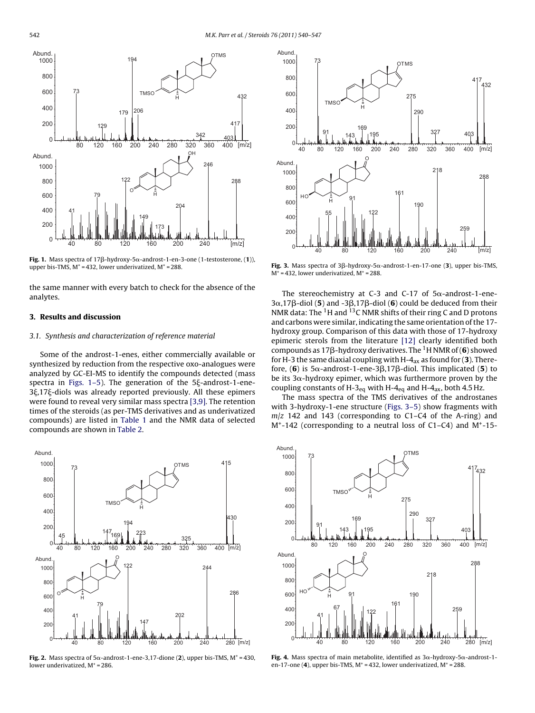$[m/z]$ 

<sup>342</sup> <sup>403</sup>

**OTMS** 

 $432$ 

417



194

179 206

**TMS** 

80 120 160 200 240 280 320 360 400

H

OH

**Fig. 1.** Mass spectra of 17β-hydroxy-5α-androst-1-en-3-one (1-testosterone, (**1**)), upper bis-TMS,  $M^+$  = 432, lower underivatized,  $M^+$  = 288.

the same manner with every batch to check for the absence of the analytes.

# **3. Results and discussion**

#### 3.1. Synthesis and characterization of reference material

Some of the androst-1-enes, either commercially available or synthesized by reduction from the respective oxo-analogues were analyzed by GC-EI-MS to identify the compounds detected (mass spectra in Figs.  $1-5$ ). The generation of the  $5\xi$ -androst-1-ene-3 $\xi$ ,17 $\xi$ -diols was already reported previously. All these epimers were found to reveal very similar mass spectra [\[3,9\]. T](#page-6-0)he retention times of the steroids (as per-TMS derivatives and as underivatized compounds) are listed in [Table 1](#page-3-0) and the NMR data of selected compounds are shown in [Table 2.](#page-3-0)

![](_page_2_Figure_7.jpeg)

Fig. 2. Mass spectra of  $5\alpha$ -androst-1-ene-3,17-dione (2), upper bis-TMS,  $M^+$  = 430, lower underivatized,  $M^+$  = 286.

![](_page_2_Figure_9.jpeg)

**Fig. 3.** Mass spectra of  $3\beta$ -hydroxy-5 $\alpha$ -androst-1-en-17-one (**3**), upper bis-TMS,  $M^+$  = 432, lower underivatized,  $M^+$  = 288.

The stereochemistry at C-3 and C-17 of  $5\alpha$ -androst-1-ene- $3\alpha$ ,17 $\beta$ -diol (5) and -3 $\beta$ ,17 $\beta$ -diol (6) could be deduced from their NMR data: The  $1H$  and  $13C$  NMR shifts of their ring C and D protons and carbons were similar, indicating the same orientation of the 17 hydroxy group. Comparison of this data with those of 17-hydroxy epimeric sterols from the literature [\[12\]](#page-6-0) clearly identified both compounds as 17ß-hydroxy derivatives. The <sup>1</sup>H NMR of (6) showed for H-3 the same diaxial coupling with H-4ax as found for (**3**). Therefore, (**6**) is 5 $\alpha$ -androst-1-ene-3 $\beta$ ,17 $\beta$ -diol. This implicated (**5**) to be its 3 $\alpha$ -hydroxy epimer, which was furthermore proven by the coupling constants of H-3<sub>eq</sub> with H-4<sub>eq</sub> and H-4<sub>ax</sub>, both 4.5 Hz.

The mass spectra of the TMS derivatives of the androstanes with 3-hydroxy-1-ene structure (Figs. 3–5) show fragments with  $m/z$  142 and 143 (corresponding to C1–C4 of the A-ring) and  $M^+$ -142 (corresponding to a neutral loss of C1–C4) and  $M^+$ -15-

![](_page_2_Figure_13.jpeg)

Fig. 4. Mass spectra of main metabolite, identified as  $3\alpha$ -hydroxy-5 $\alpha$ -androst-1en-17-one  $(4)$ , upper bis-TMS,  $M^+$  = 432, lower underivatized,  $M^+$  = 288.

<span id="page-2-0"></span>Abund.

**Abund** 

73

129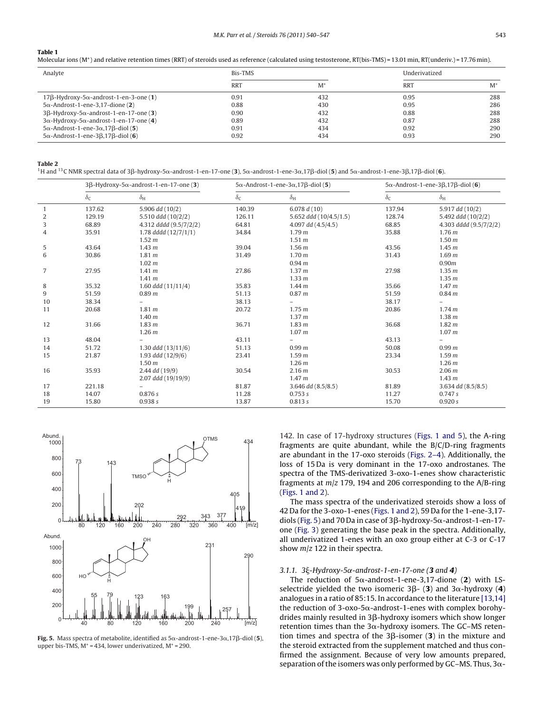# <span id="page-3-0"></span>**Table 1**

Molecular ions (M<sup>+</sup>) and relative retention times (RRT) of steroids used as reference (calculated using testosterone, RT(bis-TMS) = 13.01 min, RT(underiv.) = 17.76 min).

| Analyte                                                   | Bis-TMS    |       | Underivatized |       |
|-----------------------------------------------------------|------------|-------|---------------|-------|
|                                                           | <b>RRT</b> | $M^*$ | <b>RRT</b>    | $M^*$ |
| $17\beta$ -Hydroxy-5 $\alpha$ -androst-1-en-3-one (1)     | 0.91       | 432   | 0.95          | 288   |
| $5\alpha$ -Androst-1-ene-3,17-dione (2)                   | 0.88       | 430   | 0.95          | 286   |
| $3\beta$ -Hydroxy-5 $\alpha$ -androst-1-en-17-one (3)     | 0.90       | 432   | 0.88          | 288   |
| $3\alpha$ -Hydroxy-5 $\alpha$ -androst-1-en-17-one (4)    | 0.89       | 432   | 0.87          | 288   |
| $5\alpha$ -Androst-1-ene-3 $\alpha$ ,17 $\beta$ -diol (5) | 0.91       | 434   | 0.92          | 290   |
| $5\alpha$ -Androst-1-ene-3 $\beta$ ,17 $\beta$ -diol (6)  | 0.92       | 434   | 0.93          | 290   |

#### **Table 2**

<sup>1</sup>H and <sup>13</sup>C NMR spectral data of 3β-hydroxy-5α-androst-1-en-17-one (**3**), 5α-androst-1-ene-3α,17β-diol (**5**) and 5α-androst-1-ene-3β,17β-diol (**6**).

|                | $3\beta$ -Hydroxy-5 $\alpha$ -androst-1-en-17-one (3) |                        | $5\alpha$ -Androst-1-ene-3 $\alpha$ , 17 $\beta$ -diol (5) |                          | $5\alpha$ -Androst-1-ene-3 $\beta$ ,17 $\beta$ -diol (6) |                        |
|----------------|-------------------------------------------------------|------------------------|------------------------------------------------------------|--------------------------|----------------------------------------------------------|------------------------|
|                | $\delta$ c                                            | $\delta_{\rm H}$       | $\delta_{\mathsf{C}}$                                      | $\delta_{\rm H}$         | $\delta_{\mathsf{C}}$                                    | $\delta_{\rm H}$       |
| $\mathbf{1}$   | 137.62                                                | 5.906 dd (10/2)        | 140.39                                                     | 6.078 $d(10)$            | 137.94                                                   | 5.917 dd (10/2)        |
| $\overline{2}$ | 129.19                                                | 5.510 ddd (10/2/2)     | 126.11                                                     | 5.652 ddd (10/4.5/1.5)   | 128.74                                                   | 5.492 ddd (10/2/2)     |
| 3              | 68.89                                                 | 4.312 dddd (9.5/7/2/2) | 64.81                                                      | 4.097 $dd(4.5/4.5)$      | 68.85                                                    | 4.303 dddd (9.5/7/2/2) |
| 4              | 35.91                                                 | 1.78 $ddd(12/7/1/1)$   | 34.84                                                      | 1.79 <sub>m</sub>        | 35.88                                                    | 1.76 <sub>m</sub>      |
|                |                                                       | 1.52 <sub>m</sub>      |                                                            | 1.51 <sub>m</sub>        |                                                          | 1.50 <sub>m</sub>      |
| 5              | 43.64                                                 | 1.43 <sub>m</sub>      | 39.04                                                      | 1.56 <sub>m</sub>        | 43.56                                                    | 1.45 <sub>m</sub>      |
| 6              | 30.86                                                 | 1.81 <sub>m</sub>      | 31.49                                                      | 1.70 <sub>m</sub>        | 31.43                                                    | 1.69 <sub>m</sub>      |
|                |                                                       | 1.02 m                 |                                                            | 0.94 <sub>m</sub>        |                                                          | 0.90 <sub>m</sub>      |
| $\overline{7}$ | 27.95                                                 | 1.41 <sub>m</sub>      | 27.86                                                      | 1.37 m                   | 27.98                                                    | 1.35 <sub>m</sub>      |
|                |                                                       | 1.41 <sub>m</sub>      |                                                            | 1.33 <sub>m</sub>        |                                                          | 1.35 <sub>m</sub>      |
| 8              | 35.32                                                 | 1.60 $ddd$ (11/11/4)   | 35.83                                                      | 1.44 <sub>m</sub>        | 35.66                                                    | 1.47 <sub>m</sub>      |
| 9              | 51.59                                                 | 0.89 <sub>m</sub>      | 51.13                                                      | 0.87 <sub>m</sub>        | 51.59                                                    | 0.84 <sub>m</sub>      |
| 10             | 38.34                                                 |                        | 38.13                                                      |                          | 38.17                                                    |                        |
| 11             | 20.68                                                 | 1.81 <sub>m</sub>      | 20.72                                                      | 1.75 m                   | 20.86                                                    | 1.74 <sub>m</sub>      |
|                |                                                       | 1.40 <sub>m</sub>      |                                                            | 1.37 m                   |                                                          | 1.38 <sub>m</sub>      |
| 12             | 31.66                                                 | 1.83 <sub>m</sub>      | 36.71                                                      | 1.83 <sub>m</sub>        | 36.68                                                    | 1.82 <sub>m</sub>      |
|                |                                                       | 1.26 <sub>m</sub>      |                                                            | 1.07 m                   |                                                          | 1.07 <sub>m</sub>      |
| 13             | 48.04                                                 |                        | 43.11                                                      | $\overline{\phantom{0}}$ | 43.13                                                    | $\qquad \qquad -$      |
| 14             | 51.72                                                 | 1.30 $ddd(13/11/6)$    | 51.13                                                      | 0.99 <sub>m</sub>        | 50.08                                                    | 0.99 <sub>m</sub>      |
| 15             | 21.87                                                 | 1.93 ddd (12/9/6)      | 23.41                                                      | 1.59 <sub>m</sub>        | 23.34                                                    | 1.59 <sub>m</sub>      |
|                |                                                       | 1.50 <sub>m</sub>      |                                                            | 1.26 <sub>m</sub>        |                                                          | 1.26 <sub>m</sub>      |
| 16             | 35.93                                                 | 2.44 dd (19/9)         | 30.54                                                      | 2.16 <sub>m</sub>        | 30.53                                                    | 2.06 m                 |
|                |                                                       | 2.07 ddd (19/19/9)     |                                                            | 1.47 <sub>m</sub>        |                                                          | 1.43 <sub>m</sub>      |
| 17             | 221.18                                                |                        | 81.87                                                      | $3.646$ dd $(8.5/8.5)$   | 81.89                                                    | 3.634 dd (8.5/8.5)     |
| 18             | 14.07                                                 | 0.876 s                | 11.28                                                      | 0.753 s                  | 11.27                                                    | 0.747 s                |
| 19             | 15.80                                                 | 0.938 s                | 13.87                                                      | 0.813 s                  | 15.70                                                    | 0.920 s                |

![](_page_3_Figure_7.jpeg)

**Fig. 5.** Mass spectra of metabolite, identified as  $5\alpha$ -androst-1-ene-3 $\alpha$ ,17 $\beta$ -diol (**5**), upper bis-TMS,  $M^+$  = 434, lower underivatized,  $M^+$  = 290.

142. In case of 17-hydroxy structures ([Figs. 1 and 5\)](#page-2-0), the A-ring fragments are quite abundant, while the B/C/D-ring fragments are abundant in the 17-oxo steroids [\(Figs. 2–4\).](#page-2-0) Additionally, the loss of 15 Da is very dominant in the 17-oxo androstanes. The spectra of the TMS-derivatized 3-oxo-1-enes show characteristic fragments at  $m/z$  179, 194 and 206 corresponding to the A/B-ring [\(Figs. 1 and 2\).](#page-2-0)

The mass spectra of the underivatized steroids show a loss of 42 Da for the 3-oxo-1-enes ([Figs. 1 and 2\),](#page-2-0) 59 Da for the 1-ene-3,17 diols (Fig. 5) and 70 Da in case of 3 $\beta$ -hydroxy-5 $\alpha$ -androst-1-en-17one [\(Fig. 3\)](#page-2-0) generating the base peak in the spectra. Additionally, all underivatized 1-enes with an oxo group either at C-3 or C-17 show  $m/z$  122 in their spectra.

# 3.1.1.  $3\xi$ -Hydroxy-5 $\alpha$ -androst-1-en-17-one (3 and 4)

The reduction of  $5\alpha$ -androst-1-ene-3,17-dione (2) with LSselectride yielded the two isomeric  $3\beta$ - (**3**) and  $3\alpha$ -hydroxy (**4**) analogues in a ratio of 85:15. In accordance to the literature [\[13,14\]](#page-6-0) the reduction of 3-oxo-5 $\alpha$ -androst-1-enes with complex borohy $dr$  drides mainly resulted in  $3\beta$ -hydroxy isomers which show longer retention times than the 3 $\alpha$ -hydroxy isomers. The GC–MS retention times and spectra of the  $3\beta$ -isomer (3) in the mixture and the steroid extracted from the supplement matched and thus confirmed the assignment. Because of very low amounts prepared, separation of the isomers was only performed by GC–MS. Thus,  $3\alpha$ -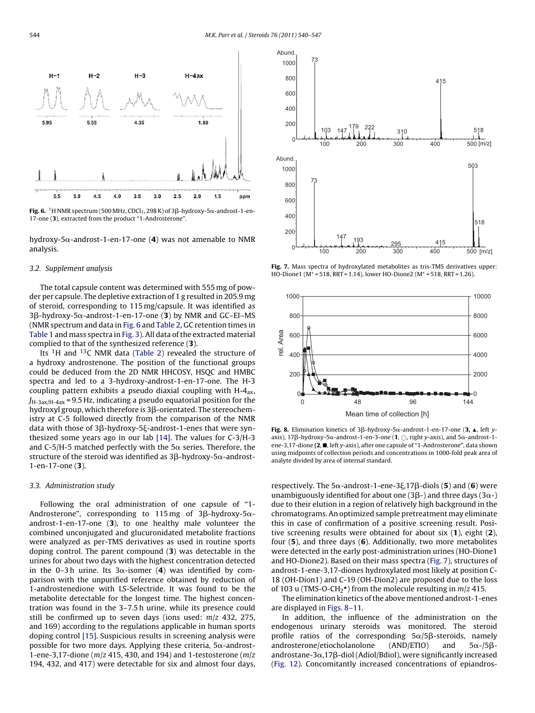![](_page_4_Figure_1.jpeg)

 ${\bf Fig. 6.}$   $\,^1{\rm H}$  NMR spectrum (500 MHz, CDCl $_3$ , 298 K) of 3 $\beta$ -hydroxy-5 $\alpha$ -androst-1-en-17-one (**3**), extracted from the product "1-Androsterone".

hydroxy-5 $\alpha$ -androst-1-en-17-one (4) was not amenable to NMR analysis.

#### 3.2. Supplement analysis

The total capsule content was determined with 555 mg of powder per capsule. The depletive extraction of 1 g resulted in 205.9 mg of steroid, corresponding to 115 mg/capsule. It was identified as 3β-hydroxy-5α-androst-1-en-17-one (**3**) by NMR and GC–EI–MS (NMR spectrum and data in Fig. 6 and [Table 2, G](#page-3-0)C retention times in [Table 1](#page-3-0) and mass spectra in [Fig. 3\).](#page-2-0) All data of the extracted material complied to that of the synthesized reference (**3**).

Its  ${}^{1}$ H and  ${}^{13}$ C NMR data ([Table 2\)](#page-3-0) revealed the structure of a hydroxy androstenone. The position of the functional groups could be deduced from the 2D NMR HHCOSY, HSQC and HMBC spectra and led to a 3-hydroxy-androst-1-en-17-one. The H-3 coupling pattern exhibits a pseudo diaxial coupling with  $H-A_{ax}$ ,  $J_{\text{H-3ax/H-4ax}}$  = 9.5 Hz, indicating a pseudo equatorial position for the hydroxyl group, which therefore is 3 $\beta$ -orientated. The stereochemistry at C-5 followed directly from the comparison of the NMR data with those of 3β-hydroxy-5ξ-androst-1-enes that were synthesized some years ago in our lab [\[14\]. T](#page-6-0)he values for C-3/H-3 and C-5/H-5 matched perfectly with the 5 $\alpha$  series. Therefore, the structure of the steroid was identified as 3ß-hydroxy-5 $\alpha$ -androst-1-en-17-one (**3**).

# 3.3. Administration study

Following the oral administration of one capsule of "1- Androsterone", corresponding to 115 $\,$ mg of 3 $\beta$ -hydroxy-5 $\alpha$ androst-1-en-17-one (**3**), to one healthy male volunteer the combined unconjugated and glucuronidated metabolite fractions were analyzed as per-TMS derivatives as used in routine sports doping control. The parent compound (**3**) was detectable in the urines for about two days with the highest concentration detected in the 0–3h urine. Its 3 $\alpha$ -isomer (4) was identified by comparison with the unpurified reference obtained by reduction of 1-androstenedione with LS-Selectride. It was found to be the metabolite detectable for the longest time. The highest concentration was found in the 3–7.5 h urine, while its presence could still be confirmed up to seven days (ions used:  $m/z$  432, 275, and 169) according to the regulations applicable in human sports doping control [\[15\]. S](#page-7-0)uspicious results in screening analysis were possible for two more days. Applying these criteria,  $5\alpha$ -androst-1-ene-3,17-dione ( $m/z$  415, 430, and 194) and 1-testosterone ( $m/z$ 194, 432, and 417) were detectable for six and almost four days,

![](_page_4_Figure_9.jpeg)

**Fig. 7.** Mass spectra of hydroxylated metabolites as tris-TMS derivatives upper: HO-Dione1 ( $M^+$  = 518, RRT = 1.14), lower HO-Dione2 ( $M^+$  = 518, RRT = 1.26).

![](_page_4_Figure_11.jpeg)

**Fig. 8.** Elimination kinetics of  $3\beta$ -hydroxy-5 $\alpha$ -androst-1-en-17-one (**3,**  $\blacktriangle$ , left yaxis), 17 $\beta$ -hydroxy-5 $\alpha$ -androst-1-en-3-one (**1**,  $\bigcirc$ , right y-axis), and 5 $\alpha$ -androst-1ene-3,17-dione **(2,**  $\blacksquare$ , left y-axis), after one capsule of "1-Androsterone", data shown using midpoints of collection periods and concentrations in 1000-fold peak area of analyte divided by area of internal standard.

respectively. The 5α-androst-1-ene-3ξ,17β-diols (**5**) and (**6**) were unambiguously identified for about one (3 $\beta$ -) and three days (3 $\alpha$ -) due to their elution in a region of relatively high background in the chromatograms. An optimized sample pretreatment may eliminate this in case of confirmation of a positive screening result. Positive screening results were obtained for about six (**1**), eight (**2**), four (**5**), and three days (**6**). Additionally, two more metabolites were detected in the early post-administration urines (HO-Dione1 and HO-Dione2). Based on their mass spectra (Fig. 7), structures of androst-1-ene-3,17-diones hydroxylated most likely at position C-18 (OH-Dion1) and C-19 (OH-Dion2) are proposed due to the loss of 103 u (TMS-O-CH<sub>2</sub> $\bullet$ ) from the molecule resulting in *m*/*z* 415.

The elimination kinetics of the above mentioned androst-1-enes are displayed in Figs. 8–11.

In addition, the influence of the administration on the endogenous urinary steroids was monitored. The steroid profile ratios of the corresponding  $5\alpha/5\beta$ -steroids, namely androsterone/etiocholanolone (AND/ETIO) and  $5\alpha$ -/5 $\beta$ androstane-3 $\alpha$ ,17 $\beta$ -diol (Adiol/Bdiol), were significantly increased [\(Fig. 12\).](#page-6-0) Concomitantly increased concentrations of epiandros-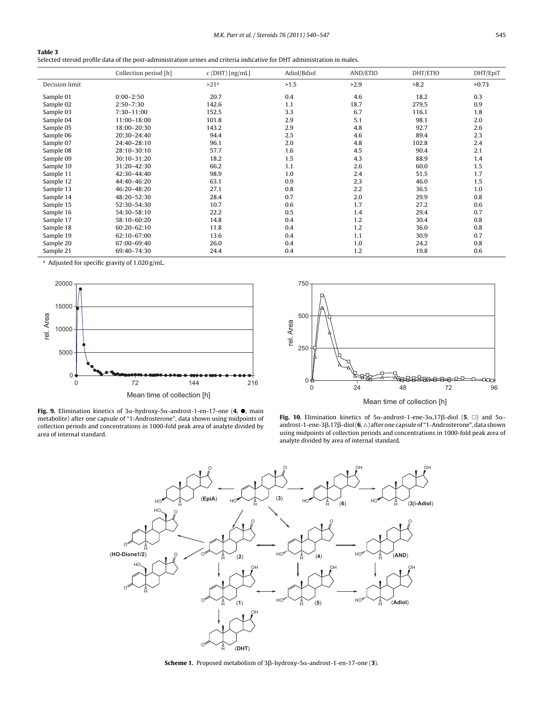<span id="page-5-0"></span>

| Table 3                                                                                                                  |
|--------------------------------------------------------------------------------------------------------------------------|
| Selected steroid profile data of the post-administration urines and criteria indicative for DHT administration in males. |

|                | Collection period [h] | $c$ (DHT) [ng/mL] | Adiol/Bdiol | AND/ETIO | DHT/ETIO | DHT/EpiT |
|----------------|-----------------------|-------------------|-------------|----------|----------|----------|
| Decision limit |                       | >21 <sup>a</sup>  | >1.5        | >2.9     | >8.2     | >0.73    |
| Sample 01      | $0:00-2:50$           | 20.7              | 0.4         | 4.6      | 18.2     | 0.3      |
| Sample 02      | $2:50 - 7:30$         | 142.6             | 1.1         | 18.7     | 279.5    | 0.9      |
| Sample 03      | $7:30 - 11:00$        | 152.5             | 3.3         | 6.7      | 116.1    | 1.8      |
| Sample 04      | 11:00-18:00           | 101.8             | 2.9         | 5.1      | 98.1     | 2.0      |
| Sample 05      | 18:00-20:30           | 143.2             | 2.9         | 4.8      | 92.7     | 2.6      |
| Sample 06      | 20:30-24:40           | 94.4              | 2.5         | 4.6      | 89.4     | 2.3      |
| Sample 07      | 24:40-28:10           | 96.1              | 2.0         | 4.8      | 102.8    | 2.4      |
| Sample 08      | 28:10-30:10           | 57.7              | 1.6         | 4.5      | 90.4     | 2.1      |
| Sample 09      | 30:10-31:20           | 18.2              | 1.5         | 4.3      | 88.9     | 1.4      |
| Sample 10      | 31:20-42:30           | 66.2              | 1.1         | 2.6      | 60.0     | 1.5      |
| Sample 11      | 42:30-44:40           | 98.9              | 1.0         | 2.4      | 51.5     | 1.7      |
| Sample 12      | 44:40-46:20           | 63.1              | 0.9         | 2.3      | 46.0     | 1.5      |
| Sample 13      | 46:20-48:20           | 27.1              | 0.8         | 2.2      | 36.5     | 1.0      |
| Sample 14      | 48:20-52:30           | 28.4              | 0.7         | 2.0      | 29.9     | 0.8      |
| Sample 15      | 52:30-54:30           | 10.7              | 0.6         | 1.7      | 27.2     | 0.6      |
| Sample 16      | 54:30-58:10           | 22.2              | 0.5         | 1.4      | 29.4     | 0.7      |
| Sample 17      | 58:10-60:20           | 14.8              | 0.4         | 1.2      | 30.4     | 0.8      |
| Sample 18      | $60:20 - 62:10$       | 11.8              | 0.4         | 1.2      | 36.0     | 0.8      |
| Sample 19      | 62:10-67:00           | 13.6              | 0.4         | 1.1      | 30.9     | 0.7      |
| Sample 20      | 67:00-69:40           | 26.0              | 0.4         | 1.0      | 24.2     | 0.8      |
| Sample 21      | 69:40-74:30           | 24.4              | 0.4         | 1.2      | 19.8     | 0.6      |

<sup>a</sup> Adjusted for specific gravity of 1.020 g/mL.

![](_page_5_Figure_4.jpeg)

![](_page_5_Figure_5.jpeg)

**Fig. 9.** Elimination kinetics of  $3\alpha$ -hydroxy-5 $\alpha$ -androst-1-en-17-one (4,  $\bullet$ , main metabolite) after one capsule of "1-Androsterone", data shown using midpoints of collection periods and concentrations in 1000-fold peak area of analyte divided by area of internal standard.

![](_page_5_Figure_7.jpeg)

![](_page_5_Figure_8.jpeg)

**Scheme 1.** Proposed metabolism of  $3\beta$ -hydroxy-5 $\alpha$ -androst-1-en-17-one (**3**).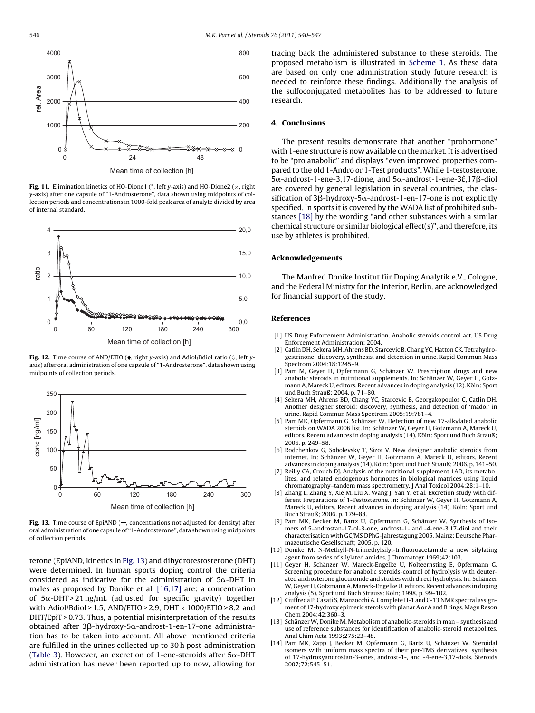<span id="page-6-0"></span>![](_page_6_Figure_1.jpeg)

**Fig. 11.** Elimination kinetics of HO-Dione1 (\*, left y-axis) and HO-Dione2 (×, right y-axis) after one capsule of "1-Androsterone", data shown using midpoints of collection periods and concentrations in 1000-fold peak area of analyte divided by area of internal standard.

![](_page_6_Figure_3.jpeg)

**Fig. 12.** Time course of AND/ETIO ( $\bullet$ , right y-axis) and Adiol/Bdiol ratio ( $\Diamond$ , left yaxis) after oral administration of one capsule of "1-Androsterone", data shown using midpoints of collection periods.

![](_page_6_Figure_5.jpeg)

**Fig. 13.** Time course of EpiAND  $(-$ , concentrations not adjusted for density) after oral administration of one capsule of "1-Androsterone", data shown using midpoints of collection periods.

terone (EpiAND, kinetics in Fig. 13) and dihydrotestosterone (DHT) were determined. In human sports doping control the criteria considered as indicative for the administration of  $5\alpha$ -DHT in males as proposed by Donike et al. [\[16,17\]](#page-7-0) are: a concentration of  $5\alpha$ -DHT > 21 ng/mL (adjusted for specific gravity) together with Adiol/Bdiol > 1.5, AND/ETIO > 2.9, DHT  $\times$  1000/ETIO > 8.2 and DHT/EpiT > 0.73. Thus, a potential misinterpretation of the results obtained after 3ß-hydroxy-5 $\alpha$ -androst-1-en-17-one administration has to be taken into account. All above mentioned criteria are fulfilled in the urines collected up to 30 h post-administration ([Table 3\).](#page-5-0) However, an excretion of 1-ene-steroids after  $5\alpha$ -DHT administration has never been reported up to now, allowing for

tracing back the administered substance to these steroids. The proposed metabolism is illustrated in [Scheme 1.](#page-5-0) As these data are based on only one administration study future research is needed to reinforce these findings. Additionally the analysis of the sulfoconjugated metabolites has to be addressed to future research.

# **4. Conclusions**

The present results demonstrate that another "prohormone" with 1-ene structure is now available on the market. It is advertised to be "pro anabolic" and displays "even improved properties compared to the old 1-Andro or 1-Test products". While 1-testosterone,  $5\alpha$ -androst-1-ene-3,17-dione, and  $5\alpha$ -androst-1-ene-3 $\xi$ ,17 $\beta$ -diol are covered by general legislation in several countries, the classification of 3β-hydroxy-5α-androst-1-en-17-one is not explicitly specified. In sports it is covered by the WADA list of prohibited substances [\[18\]](#page-7-0) by the wording "and other substances with a similar chemical structure or similar biological effect(s)", and therefore, its use by athletes is prohibited.

#### **Acknowledgements**

The Manfred Donike Institut für Doping Analytik e.V., Cologne, and the Federal Ministry for the Interior, Berlin, are acknowledged for financial support of the study.

# **References**

- [1] US Drug Enforcement Administration. Anabolic steroids control act. US Drug Enforcement Administration; 2004.
- [2] Catlin DH, Sekera MH, Ahrens BD, Starcevic B, Chang YC, Hatton CK. Tetrahydrogestrinone: discovery, synthesis, and detection in urine. Rapid Commun Mass Spectrom 2004;18:1245–9.
- [3] Parr M, Geyer H, Opfermann G, Schänzer W. Prescription drugs and new anabolic steroids in nutritional supplements. In: Schänzer W, Geyer H, Gotzmann A, Mareck U, editors. Recent advances in doping analysis (12). Köln: Sport und Buch Strauß; 2004. p. 71–80.
- [4] Sekera MH, Ahrens BD, Chang YC, Starcevic B, Georgakopoulos C, Catlin DH. Another designer steroid: discovery, synthesis, and detection of 'madol' in urine. Rapid Commun Mass Spectrom 2005;19:781–4.
- [5] Parr MK, Opfermann G, Schänzer W. Detection of new 17-alkylated anabolic steroids on WADA 2006 list. In: Schänzer W, Geyer H, Gotzmann A, Mareck U, editors. Recent advances in doping analysis (14). Köln: Sport und Buch Strauß; 2006. p. 249–58.
- [6] Rodchenkov G, Sobolevsky T, Sizoi V. New designer anabolic steroids from internet. In: Schänzer W, Geyer H, Gotzmann A, Mareck U, editors. Recent advances in doping analysis (14). Köln: Sport und Buch Strauß; 2006. p. 141–50.
- [7] Reilly CA, Crouch DJ. Analysis of the nutritional supplement 1AD, its metabolites, and related endogenous hormones in biological matrices using liquid chromatography–tandem mass spectrometry. J Anal Toxicol 2004;28:1–10.
- [8] Zhang L, Zhang Y, Xie M, Liu X, Wang J, Yan Y, et al. Excretion study with different Preparations of 1-Testosterone. In: Schänzer W, Geyer H, Gotzmann A, Mareck U, editors. Recent advances in doping analysis (14). Köln: Sport und Buch Strauß; 2006. p. 179–88.
- [9] Parr MK, Becker M, Bartz U, Opfermann G, Schänzer W. Synthesis of isomers of 5-androstan-17-ol-3-one, androst-1- and -4-ene-3,17-diol and their characterisation with GC/MS DPhG-Jahrestagung 2005. Mainz: Deutsche Pharmazeutische Gesellschaft; 2005. p. 120.
- [10] Donike M. N-Methyll-N-trimethylsilyl-trifluoroacetamide a new silylating agent from series of silylated amides. J Chromatogr 1969;42:103.
- [11] Geyer H, Schänzer W, Mareck-Engelke U, Nolteernsting E, Opfermann G. Screening procedure for anabolic steroids-control of hydrolysis with deuterated androsterone glucuronide and studies with direct hydrolysis. In: Schänzer W, Geyer H, Gotzmann A,Mareck-Engelke U, editors. Recent advances in doping analysis (5). Sport und Buch Strauss: Köln; 1998. p. 99–102.
- [12] Ciuffreda P, Casati S, Manzocchi A. Complete H-1 and C-13 NMR spectral assignment of 17-hydroxy epimeric sterols with planar A or A and B rings. Magn Reson Chem 2004;42:360–3.
- [13] SchänzerW, Donike M. Metabolism of anabolic-steroids in man synthesis and use of reference substances for identification of anabolic-steroid metabolites. Anal Chim Acta 1993;275:23–48.
- [14] Parr MK, Zapp J, Becker M, Opfermann G, Bartz U, Schänzer W. Steroidal isomers with uniform mass spectra of their per-TMS derivatives: synthesis of 17-hydroxyandrostan-3-ones, androst-1-, and -4-ene-3,17-diols. Steroids 2007;72:545–51.